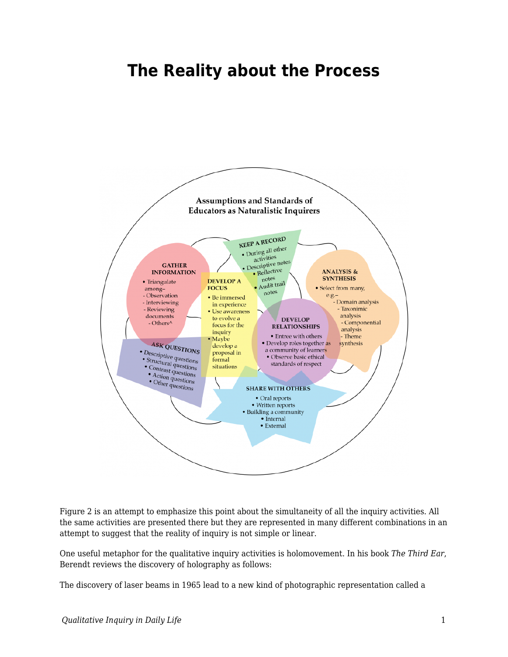## **The Reality about the Process**



Figure 2 is an attempt to emphasize this point about the simultaneity of all the inquiry activities. All the same activities are presented there but they are represented in many different combinations in an attempt to suggest that the reality of inquiry is not simple or linear.

One useful metaphor for the qualitative inquiry activities is holomovement. In his book *The Third Ear*, Berendt reviews the discovery of holography as follows:

The discovery of laser beams in 1965 lead to a new kind of photographic representation called a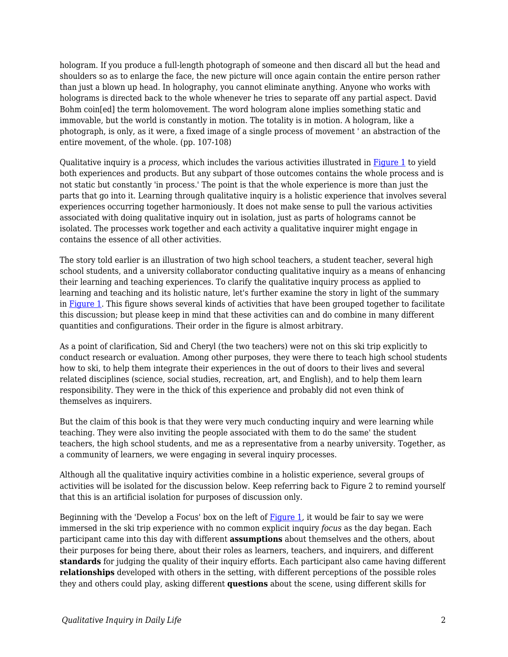hologram. If you produce a full-length photograph of someone and then discard all but the head and shoulders so as to enlarge the face, the new picture will once again contain the entire person rather than just a blown up head. In holography, you cannot eliminate anything. Anyone who works with holograms is directed back to the whole whenever he tries to separate off any partial aspect. David Bohm coin[ed] the term holomovement. The word hologram alone implies something static and immovable, but the world is constantly in motion. The totality is in motion. A hologram, like a photograph, is only, as it were, a fixed image of a single process of movement ' an abstraction of the entire movement, of the whole. (pp. 107-108)

Qualitative inquiry is a *process,* which includes the various activities illustrated in [Figure 1](https://edtechbooks.org/qualitativeinquiry/process) to yield both experiences and products. But any subpart of those outcomes contains the whole process and is not static but constantly 'in process.' The point is that the whole experience is more than just the parts that go into it. Learning through qualitative inquiry is a holistic experience that involves several experiences occurring together harmoniously. It does not make sense to pull the various activities associated with doing qualitative inquiry out in isolation, just as parts of holograms cannot be isolated. The processes work together and each activity a qualitative inquirer might engage in contains the essence of all other activities.

The story told earlier is an illustration of two high school teachers, a student teacher, several high school students, and a university collaborator conducting qualitative inquiry as a means of enhancing their learning and teaching experiences. To clarify the qualitative inquiry process as applied to learning and teaching and its holistic nature, let's further examine the story in light of the summary in [Figure 1](https://edtechbooks.org/qualitativeinquiry/process). This figure shows several kinds of activities that have been grouped together to facilitate this discussion; but please keep in mind that these activities can and do combine in many different quantities and configurations. Their order in the figure is almost arbitrary.

As a point of clarification, Sid and Cheryl (the two teachers) were not on this ski trip explicitly to conduct research or evaluation. Among other purposes, they were there to teach high school students how to ski, to help them integrate their experiences in the out of doors to their lives and several related disciplines (science, social studies, recreation, art, and English), and to help them learn responsibility. They were in the thick of this experience and probably did not even think of themselves as inquirers.

But the claim of this book is that they were very much conducting inquiry and were learning while teaching. They were also inviting the people associated with them to do the same' the student teachers, the high school students, and me as a representative from a nearby university. Together, as a community of learners, we were engaging in several inquiry processes.

Although all the qualitative inquiry activities combine in a holistic experience, several groups of activities will be isolated for the discussion below. Keep referring back to Figure 2 to remind yourself that this is an artificial isolation for purposes of discussion only.

Beginning with the 'Develop a Focus' box on the left of [Figure 1](https://edtechbooks.org/qualitativeinquiry/process), it would be fair to say we were immersed in the ski trip experience with no common explicit inquiry *focus* as the day began. Each participant came into this day with different **assumptions** about themselves and the others, about their purposes for being there, about their roles as learners, teachers, and inquirers, and different **standards** for judging the quality of their inquiry efforts. Each participant also came having different **relationships** developed with others in the setting, with different perceptions of the possible roles they and others could play, asking different **questions** about the scene, using different skills for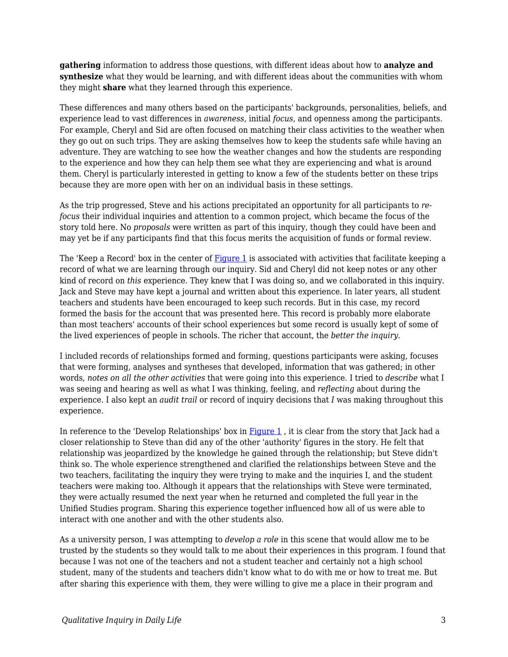**gathering** information to address those questions, with different ideas about how to **analyze and synthesize** what they would be learning, and with different ideas about the communities with whom they might **share** what they learned through this experience.

These differences and many others based on the participants' backgrounds, personalities, beliefs, and experience lead to vast differences in *awareness*, initial *focus*, and openness among the participants. For example, Cheryl and Sid are often focused on matching their class activities to the weather when they go out on such trips. They are asking themselves how to keep the students safe while having an adventure. They are watching to see how the weather changes and how the students are responding to the experience and how they can help them see what they are experiencing and what is around them. Cheryl is particularly interested in getting to know a few of the students better on these trips because they are more open with her on an individual basis in these settings.

As the trip progressed, Steve and his actions precipitated an opportunity for all participants to *refocus* their individual inquiries and attention to a common project, which became the focus of the story told here. No *proposals* were written as part of this inquiry, though they could have been and may yet be if any participants find that this focus merits the acquisition of funds or formal review.

The 'Keep a Record' box in the center of [Figure 1](https://edtechbooks.org/qualitativeinquiry/process) is associated with activities that facilitate keeping a record of what we are learning through our inquiry. Sid and Cheryl did not keep notes or any other kind of record on *this* experience. They knew that I was doing so, and we collaborated in this inquiry. Jack and Steve may have kept a journal and written about this experience. In later years, all student teachers and students have been encouraged to keep such records. But in this case, my record formed the basis for the account that was presented here. This record is probably more elaborate than most teachers' accounts of their school experiences but some record is usually kept of some of the lived experiences of people in schools. The richer that account, the *better the inquiry*.

I included records of relationships formed and forming, questions participants were asking, focuses that were forming, analyses and syntheses that developed, information that was gathered; in other words, *notes on all the other activities* that were going into this experience. I tried to *describe* what I was seeing and hearing as well as what I was thinking, feeling, and *reflecting* about during the experience. I also kept an *audit trail* or record of inquiry decisions that *I* was making throughout this experience.

In reference to the 'Develop Relationships' box in  $Figure 1$ , it is clear from the story that Jack had a closer relationship to Steve than did any of the other 'authority' figures in the story. He felt that relationship was jeopardized by the knowledge he gained through the relationship; but Steve didn't think so. The whole experience strengthened and clarified the relationships between Steve and the two teachers, facilitating the inquiry they were trying to make and the inquiries I, and the student teachers were making too. Although it appears that the relationships with Steve were terminated, they were actually resumed the next year when he returned and completed the full year in the Unified Studies program. Sharing this experience together influenced how all of us were able to interact with one another and with the other students also.

As a university person, I was attempting to *develop a role* in this scene that would allow me to be trusted by the students so they would talk to me about their experiences in this program. I found that because I was not one of the teachers and not a student teacher and certainly not a high school student, many of the students and teachers didn't know what to do with me or how to treat me. But after sharing this experience with them, they were willing to give me a place in their program and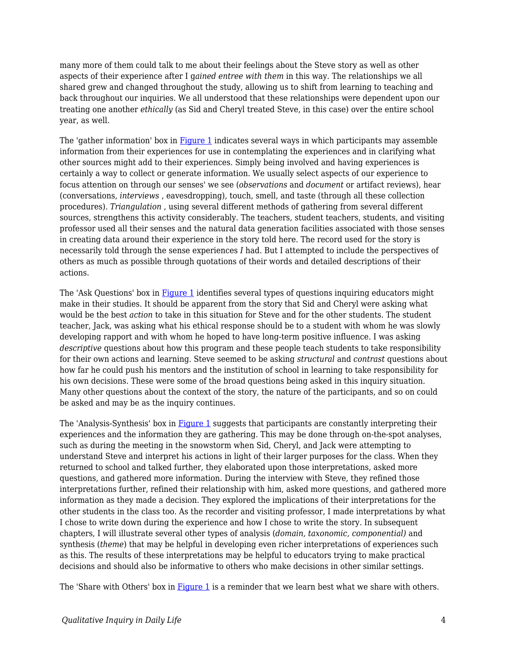many more of them could talk to me about their feelings about the Steve story as well as other aspects of their experience after I g*ained entree with them* in this way. The relationships we all shared grew and changed throughout the study, allowing us to shift from learning to teaching and back throughout our inquiries. We all understood that these relationships were dependent upon our treating one another *ethically* (as Sid and Cheryl treated Steve, in this case) over the entire school year, as well.

The 'gather information' box in [Figure 1](https://edtechbooks.org/qualitativeinquiry/process) indicates several ways in which participants may assemble information from their experiences for use in contemplating the experiences and in clarifying what other sources might add to their experiences. Simply being involved and having experiences is certainly a way to collect or generate information. We usually select aspects of our experience to focus attention on through our senses' we see (*observations* and *document* or artifact reviews), hear (conversations, *interviews* , eavesdropping), touch, smell, and taste (through all these collection procedures). *Triangulation* , using several different methods of gathering from several different sources, strengthens this activity considerably. The teachers, student teachers, students, and visiting professor used all their senses and the natural data generation facilities associated with those senses in creating data around their experience in the story told here. The record used for the story is necessarily told through the sense experiences *I* had. But I attempted to include the perspectives of others as much as possible through quotations of their words and detailed descriptions of their actions.

The 'Ask Questions' box in [Figure 1](https://edtechbooks.org/qualitativeinquiry/process) identifies several types of questions inquiring educators might make in their studies. It should be apparent from the story that Sid and Cheryl were asking what would be the best *action* to take in this situation for Steve and for the other students. The student teacher, Jack, was asking what his ethical response should be to a student with whom he was slowly developing rapport and with whom he hoped to have long-term positive influence. I was asking *descriptive* questions about how this program and these people teach students to take responsibility for their own actions and learning. Steve seemed to be asking *structural* and *contrast* questions about how far he could push his mentors and the institution of school in learning to take responsibility for his own decisions. These were some of the broad questions being asked in this inquiry situation. Many other questions about the context of the story, the nature of the participants, and so on could be asked and may be as the inquiry continues.

The 'Analysis-Synthesis' box in [Figure 1](https://edtechbooks.org/qualitativeinquiry/process) suggests that participants are constantly interpreting their experiences and the information they are gathering. This may be done through on-the-spot analyses, such as during the meeting in the snowstorm when Sid, Cheryl, and Jack were attempting to understand Steve and interpret his actions in light of their larger purposes for the class. When they returned to school and talked further, they elaborated upon those interpretations, asked more questions, and gathered more information. During the interview with Steve, they refined those interpretations further, refined their relationship with him, asked more questions, and gathered more information as they made a decision. They explored the implications of their interpretations for the other students in the class too. As the recorder and visiting professor, I made interpretations by what I chose to write down during the experience and how I chose to write the story. In subsequent chapters, I will illustrate several other types of analysis (*domain, taxonomic, componential)* and synthesis (*theme*) that may be helpful in developing even richer interpretations of experiences such as this. The results of these interpretations may be helpful to educators trying to make practical decisions and should also be informative to others who make decisions in other similar settings.

The 'Share with Others' box in  $Figure 1$  is a reminder that we learn best what we share with others.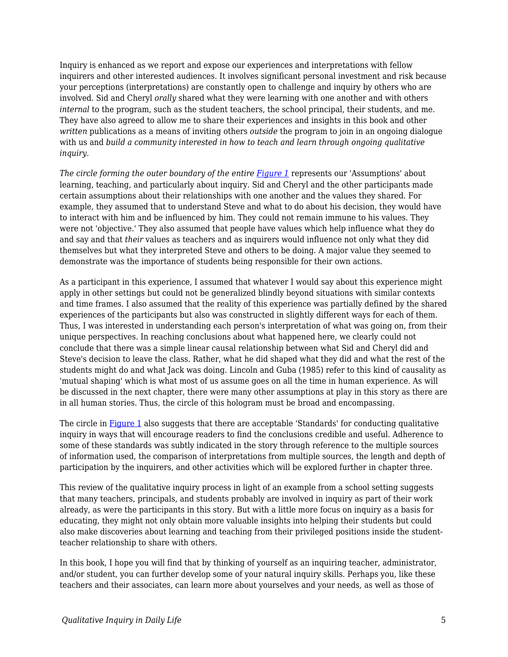Inquiry is enhanced as we report and expose our experiences and interpretations with fellow inquirers and other interested audiences. It involves significant personal investment and risk because your perceptions (interpretations) are constantly open to challenge and inquiry by others who are involved. Sid and Cheryl *orally* shared what they were learning with one another and with others *internal* to the program, such as the student teachers, the school principal, their students, and me. They have also agreed to allow me to share their experiences and insights in this book and other *written* publications as a means of inviting others *outside* the program to join in an ongoing dialogue with us and *build a community interested in how to teach and learn through ongoing qualitative inquiry.*

*The circle forming the outer boundary of the entire <i>[Figure 1](https://edtechbooks.org/qualitativeinquiry/process)* represents our 'Assumptions' about learning, teaching, and particularly about inquiry. Sid and Cheryl and the other participants made certain assumptions about their relationships with one another and the values they shared. For example, they assumed that to understand Steve and what to do about his decision, they would have to interact with him and be influenced by him. They could not remain immune to his values. They were not 'objective.' They also assumed that people have values which help influence what they do and say and that *their* values as teachers and as inquirers would influence not only what they did themselves but what they interpreted Steve and others to be doing. A major value they seemed to demonstrate was the importance of students being responsible for their own actions.

As a participant in this experience, I assumed that whatever I would say about this experience might apply in other settings but could not be generalized blindly beyond situations with similar contexts and time frames. I also assumed that the reality of this experience was partially defined by the shared experiences of the participants but also was constructed in slightly different ways for each of them. Thus, I was interested in understanding each person's interpretation of what was going on, from their unique perspectives. In reaching conclusions about what happened here, we clearly could not conclude that there was a simple linear causal relationship between what Sid and Cheryl did and Steve's decision to leave the class. Rather, what he did shaped what they did and what the rest of the students might do and what Jack was doing. Lincoln and Guba (1985) refer to this kind of causality as 'mutual shaping' which is what most of us assume goes on all the time in human experience. As will be discussed in the next chapter, there were many other assumptions at play in this story as there are in all human stories. Thus, the circle of this hologram must be broad and encompassing.

The circle in [Figure 1](https://edtechbooks.org/qualitativeinquiry/process) also suggests that there are acceptable 'Standards' for conducting qualitative inquiry in ways that will encourage readers to find the conclusions credible and useful. Adherence to some of these standards was subtly indicated in the story through reference to the multiple sources of information used, the comparison of interpretations from multiple sources, the length and depth of participation by the inquirers, and other activities which will be explored further in chapter three.

This review of the qualitative inquiry process in light of an example from a school setting suggests that many teachers, principals, and students probably are involved in inquiry as part of their work already, as were the participants in this story. But with a little more focus on inquiry as a basis for educating, they might not only obtain more valuable insights into helping their students but could also make discoveries about learning and teaching from their privileged positions inside the studentteacher relationship to share with others.

In this book, I hope you will find that by thinking of yourself as an inquiring teacher, administrator, and/or student, you can further develop some of your natural inquiry skills. Perhaps you, like these teachers and their associates, can learn more about yourselves and your needs, as well as those of